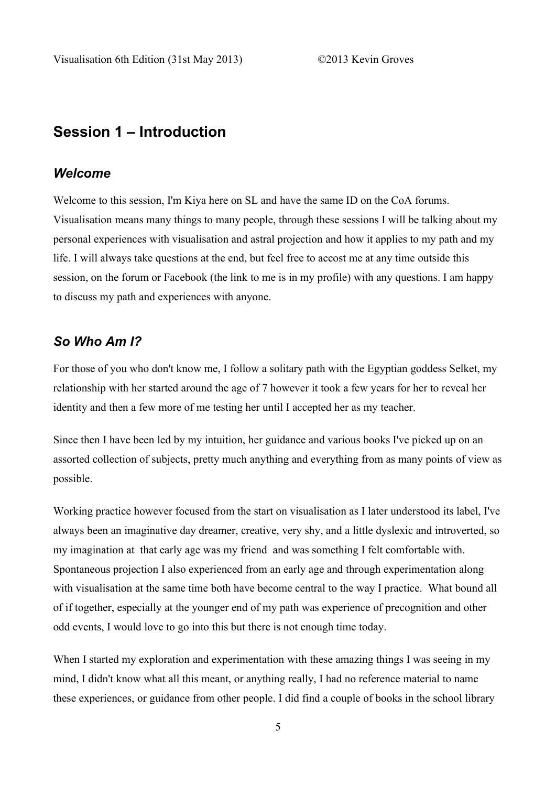# **Session 1 – Introduction**

### *Welcome*

Welcome to this session, I'm Kiya here on SL and have the same ID on the CoA forums. Visualisation means many things to many people, through these sessions I will be talking about my personal experiences with visualisation and astral projection and how it applies to my path and my life. I will always take questions at the end, but feel free to accost me at any time outside this session, on the forum or Facebook (the link to me is in my profile) with any questions. I am happy to discuss my path and experiences with anyone.

#### *So Who Am I?*

For those of you who don't know me, I follow a solitary path with the Egyptian goddess Selket, my relationship with her started around the age of 7 however it took a few years for her to reveal her identity and then a few more of me testing her until I accepted her as my teacher.

Since then I have been led by my intuition, her guidance and various books I've picked up on an assorted collection of subjects, pretty much anything and everything from as many points of view as possible.

Working practice however focused from the start on visualisation as I later understood its label, I've always been an imaginative day dreamer, creative, very shy, and a little dyslexic and introverted, so my imagination at that early age was my friend and was something I felt comfortable with. Spontaneous projection I also experienced from an early age and through experimentation along with visualisation at the same time both have become central to the way I practice. What bound all of if together, especially at the younger end of my path was experience of precognition and other odd events, I would love to go into this but there is not enough time today.

When I started my exploration and experimentation with these amazing things I was seeing in my mind, I didn't know what all this meant, or anything really, I had no reference material to name these experiences, or guidance from other people. I did find a couple of books in the school library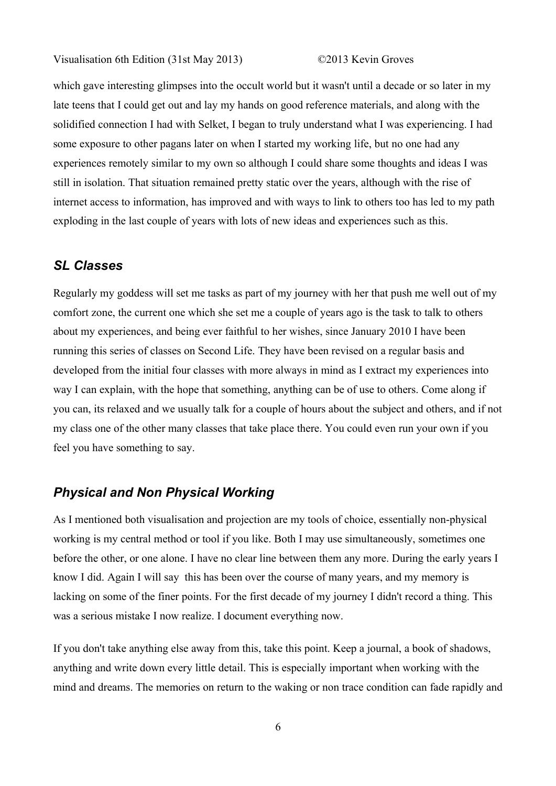which gave interesting glimpses into the occult world but it wasn't until a decade or so later in my late teens that I could get out and lay my hands on good reference materials, and along with the solidified connection I had with Selket, I began to truly understand what I was experiencing. I had some exposure to other pagans later on when I started my working life, but no one had any experiences remotely similar to my own so although I could share some thoughts and ideas I was still in isolation. That situation remained pretty static over the years, although with the rise of internet access to information, has improved and with ways to link to others too has led to my path exploding in the last couple of years with lots of new ideas and experiences such as this.

### *SL Classes*

Regularly my goddess will set me tasks as part of my journey with her that push me well out of my comfort zone, the current one which she set me a couple of years ago is the task to talk to others about my experiences, and being ever faithful to her wishes, since January 2010 I have been running this series of classes on Second Life. They have been revised on a regular basis and developed from the initial four classes with more always in mind as I extract my experiences into way I can explain, with the hope that something, anything can be of use to others. Come along if you can, its relaxed and we usually talk for a couple of hours about the subject and others, and if not my class one of the other many classes that take place there. You could even run your own if you feel you have something to say.

## *Physical and Non Physical Working*

As I mentioned both visualisation and projection are my tools of choice, essentially non-physical working is my central method or tool if you like. Both I may use simultaneously, sometimes one before the other, or one alone. I have no clear line between them any more. During the early years I know I did. Again I will say this has been over the course of many years, and my memory is lacking on some of the finer points. For the first decade of my journey I didn't record a thing. This was a serious mistake I now realize. I document everything now.

If you don't take anything else away from this, take this point. Keep a journal, a book of shadows, anything and write down every little detail. This is especially important when working with the mind and dreams. The memories on return to the waking or non trace condition can fade rapidly and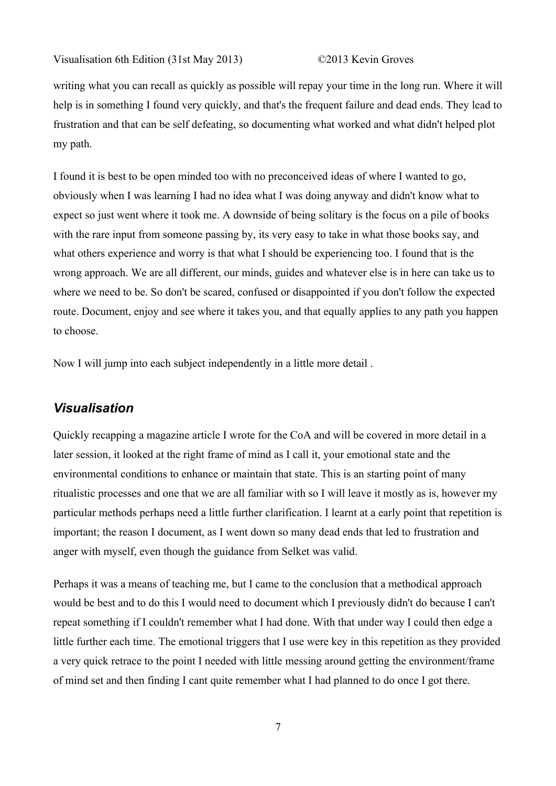writing what you can recall as quickly as possible will repay your time in the long run. Where it will help is in something I found very quickly, and that's the frequent failure and dead ends. They lead to frustration and that can be self defeating, so documenting what worked and what didn't helped plot my path.

I found it is best to be open minded too with no preconceived ideas of where I wanted to go, obviously when I was learning I had no idea what I was doing anyway and didn't know what to expect so just went where it took me. A downside of being solitary is the focus on a pile of books with the rare input from someone passing by, its very easy to take in what those books say, and what others experience and worry is that what I should be experiencing too. I found that is the wrong approach. We are all different, our minds, guides and whatever else is in here can take us to where we need to be. So don't be scared, confused or disappointed if you don't follow the expected route. Document, enjoy and see where it takes you, and that equally applies to any path you happen to choose.

Now I will jump into each subject independently in a little more detail .

### *Visualisation*

Quickly recapping a magazine article I wrote for the CoA and will be covered in more detail in a later session, it looked at the right frame of mind as I call it, your emotional state and the environmental conditions to enhance or maintain that state. This is an starting point of many ritualistic processes and one that we are all familiar with so I will leave it mostly as is, however my particular methods perhaps need a little further clarification. I learnt at a early point that repetition is important; the reason I document, as I went down so many dead ends that led to frustration and anger with myself, even though the guidance from Selket was valid.

Perhaps it was a means of teaching me, but I came to the conclusion that a methodical approach would be best and to do this I would need to document which I previously didn't do because I can't repeat something if I couldn't remember what I had done. With that under way I could then edge a little further each time. The emotional triggers that I use were key in this repetition as they provided a very quick retrace to the point I needed with little messing around getting the environment/frame of mind set and then finding I cant quite remember what I had planned to do once I got there.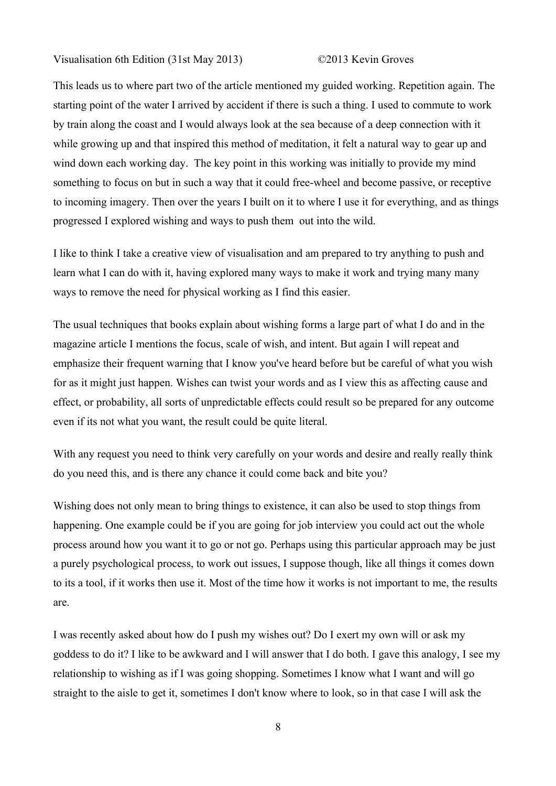This leads us to where part two of the article mentioned my guided working. Repetition again. The starting point of the water I arrived by accident if there is such a thing. I used to commute to work by train along the coast and I would always look at the sea because of a deep connection with it while growing up and that inspired this method of meditation, it felt a natural way to gear up and wind down each working day. The key point in this working was initially to provide my mind something to focus on but in such a way that it could free-wheel and become passive, or receptive to incoming imagery. Then over the years I built on it to where I use it for everything, and as things progressed I explored wishing and ways to push them out into the wild.

I like to think I take a creative view of visualisation and am prepared to try anything to push and learn what I can do with it, having explored many ways to make it work and trying many many ways to remove the need for physical working as I find this easier.

The usual techniques that books explain about wishing forms a large part of what I do and in the magazine article I mentions the focus, scale of wish, and intent. But again I will repeat and emphasize their frequent warning that I know you've heard before but be careful of what you wish for as it might just happen. Wishes can twist your words and as I view this as affecting cause and effect, or probability, all sorts of unpredictable effects could result so be prepared for any outcome even if its not what you want, the result could be quite literal.

With any request you need to think very carefully on your words and desire and really really think do you need this, and is there any chance it could come back and bite you?

Wishing does not only mean to bring things to existence, it can also be used to stop things from happening. One example could be if you are going for job interview you could act out the whole process around how you want it to go or not go. Perhaps using this particular approach may be just a purely psychological process, to work out issues, I suppose though, like all things it comes down to its a tool, if it works then use it. Most of the time how it works is not important to me, the results are.

I was recently asked about how do I push my wishes out? Do I exert my own will or ask my goddess to do it? I like to be awkward and I will answer that I do both. I gave this analogy, I see my relationship to wishing as if I was going shopping. Sometimes I know what I want and will go straight to the aisle to get it, sometimes I don't know where to look, so in that case I will ask the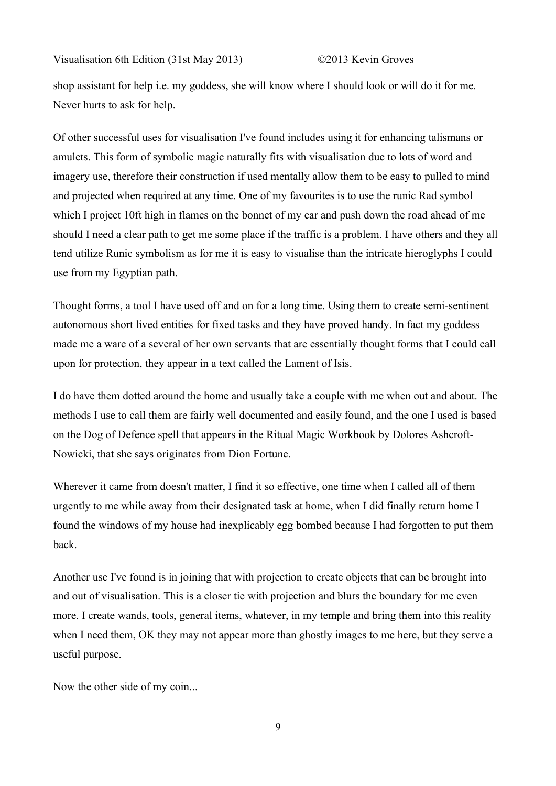shop assistant for help i.e. my goddess, she will know where I should look or will do it for me. Never hurts to ask for help.

Of other successful uses for visualisation I've found includes using it for enhancing talismans or amulets. This form of symbolic magic naturally fits with visualisation due to lots of word and imagery use, therefore their construction if used mentally allow them to be easy to pulled to mind and projected when required at any time. One of my favourites is to use the runic Rad symbol which I project 10ft high in flames on the bonnet of my car and push down the road ahead of me should I need a clear path to get me some place if the traffic is a problem. I have others and they all tend utilize Runic symbolism as for me it is easy to visualise than the intricate hieroglyphs I could use from my Egyptian path.

Thought forms, a tool I have used off and on for a long time. Using them to create semi-sentinent autonomous short lived entities for fixed tasks and they have proved handy. In fact my goddess made me a ware of a several of her own servants that are essentially thought forms that I could call upon for protection, they appear in a text called the Lament of Isis.

I do have them dotted around the home and usually take a couple with me when out and about. The methods I use to call them are fairly well documented and easily found, and the one I used is based on the Dog of Defence spell that appears in the Ritual Magic Workbook by Dolores Ashcroft-Nowicki, that she says originates from Dion Fortune.

Wherever it came from doesn't matter, I find it so effective, one time when I called all of them urgently to me while away from their designated task at home, when I did finally return home I found the windows of my house had inexplicably egg bombed because I had forgotten to put them back.

Another use I've found is in joining that with projection to create objects that can be brought into and out of visualisation. This is a closer tie with projection and blurs the boundary for me even more. I create wands, tools, general items, whatever, in my temple and bring them into this reality when I need them, OK they may not appear more than ghostly images to me here, but they serve a useful purpose.

Now the other side of my coin...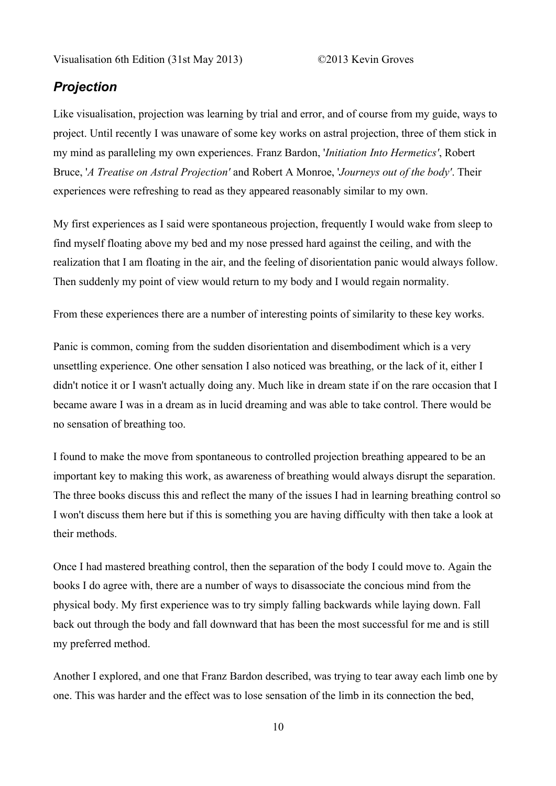### *Projection*

Like visualisation, projection was learning by trial and error, and of course from my guide, ways to project. Until recently I was unaware of some key works on astral projection, three of them stick in my mind as paralleling my own experiences. Franz Bardon, '*Initiation Into Hermetics'*, Robert Bruce, '*A Treatise on Astral Projection'* and Robert A Monroe, '*Journeys out of the body'*. Their experiences were refreshing to read as they appeared reasonably similar to my own.

My first experiences as I said were spontaneous projection, frequently I would wake from sleep to find myself floating above my bed and my nose pressed hard against the ceiling, and with the realization that I am floating in the air, and the feeling of disorientation panic would always follow. Then suddenly my point of view would return to my body and I would regain normality.

From these experiences there are a number of interesting points of similarity to these key works.

Panic is common, coming from the sudden disorientation and disembodiment which is a very unsettling experience. One other sensation I also noticed was breathing, or the lack of it, either I didn't notice it or I wasn't actually doing any. Much like in dream state if on the rare occasion that I became aware I was in a dream as in lucid dreaming and was able to take control. There would be no sensation of breathing too.

I found to make the move from spontaneous to controlled projection breathing appeared to be an important key to making this work, as awareness of breathing would always disrupt the separation. The three books discuss this and reflect the many of the issues I had in learning breathing control so I won't discuss them here but if this is something you are having difficulty with then take a look at their methods.

Once I had mastered breathing control, then the separation of the body I could move to. Again the books I do agree with, there are a number of ways to disassociate the concious mind from the physical body. My first experience was to try simply falling backwards while laying down. Fall back out through the body and fall downward that has been the most successful for me and is still my preferred method.

Another I explored, and one that Franz Bardon described, was trying to tear away each limb one by one. This was harder and the effect was to lose sensation of the limb in its connection the bed,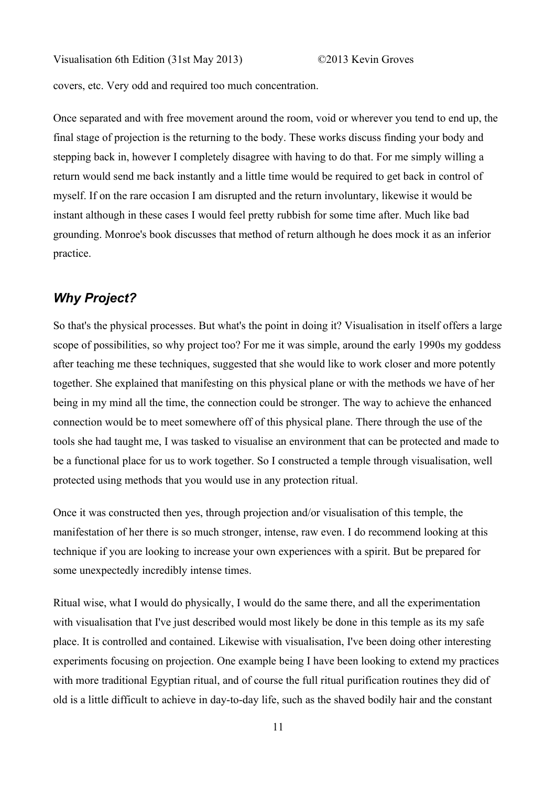covers, etc. Very odd and required too much concentration.

Once separated and with free movement around the room, void or wherever you tend to end up, the final stage of projection is the returning to the body. These works discuss finding your body and stepping back in, however I completely disagree with having to do that. For me simply willing a return would send me back instantly and a little time would be required to get back in control of myself. If on the rare occasion I am disrupted and the return involuntary, likewise it would be instant although in these cases I would feel pretty rubbish for some time after. Much like bad grounding. Monroe's book discusses that method of return although he does mock it as an inferior practice.

## *Why Project?*

So that's the physical processes. But what's the point in doing it? Visualisation in itself offers a large scope of possibilities, so why project too? For me it was simple, around the early 1990s my goddess after teaching me these techniques, suggested that she would like to work closer and more potently together. She explained that manifesting on this physical plane or with the methods we have of her being in my mind all the time, the connection could be stronger. The way to achieve the enhanced connection would be to meet somewhere off of this physical plane. There through the use of the tools she had taught me, I was tasked to visualise an environment that can be protected and made to be a functional place for us to work together. So I constructed a temple through visualisation, well protected using methods that you would use in any protection ritual.

Once it was constructed then yes, through projection and/or visualisation of this temple, the manifestation of her there is so much stronger, intense, raw even. I do recommend looking at this technique if you are looking to increase your own experiences with a spirit. But be prepared for some unexpectedly incredibly intense times.

Ritual wise, what I would do physically, I would do the same there, and all the experimentation with visualisation that I've just described would most likely be done in this temple as its my safe place. It is controlled and contained. Likewise with visualisation, I've been doing other interesting experiments focusing on projection. One example being I have been looking to extend my practices with more traditional Egyptian ritual, and of course the full ritual purification routines they did of old is a little difficult to achieve in day-to-day life, such as the shaved bodily hair and the constant